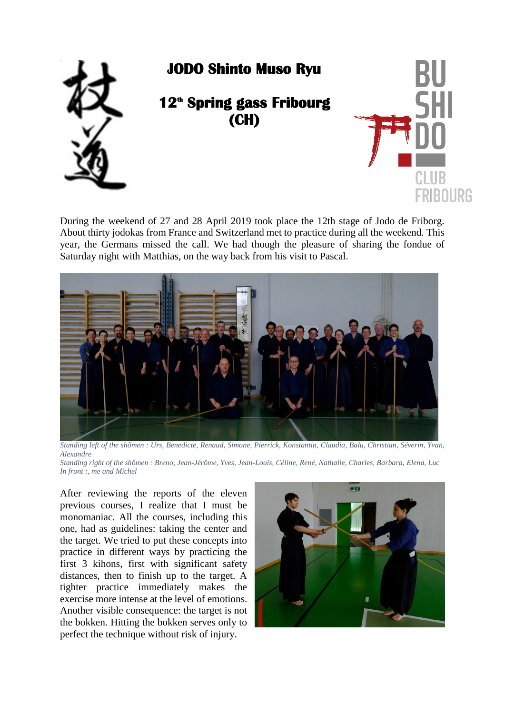

During the weekend of 27 and 28 April 2019 took place the 12th stage of Jodo de Friborg. About thirty jodokas from France and Switzerland met to practice during all the weekend. This year, the Germans missed the call. We had though the pleasure of sharing the fondue of Saturday night with Matthias, on the way back from his visit to Pascal.



*Standing left of the shômen : Urs, Benedicte, Renaud, Simone, Pierrick, Konstantin, Claudia, Balu, Christian, Séverin, Yvan, Alexandre*

*Standing right of the shômen : Breno, Jean-Jérôme, Yves, Jean-Louis, Céline, René, Nathalie, Charles, Barbara, Elena, Luc In front :, me and Michel* 

After reviewing the reports of the eleven previous courses, I realize that I must be monomaniac. All the courses, including this one, had as guidelines: taking the center and the target. We tried to put these concepts into practice in different ways by practicing the first 3 kihons, first with significant safety distances, then to finish up to the target. A tighter practice immediately makes the exercise more intense at the level of emotions. Another visible consequence: the target is not the bokken. Hitting the bokken serves only to perfect the technique without risk of injury.